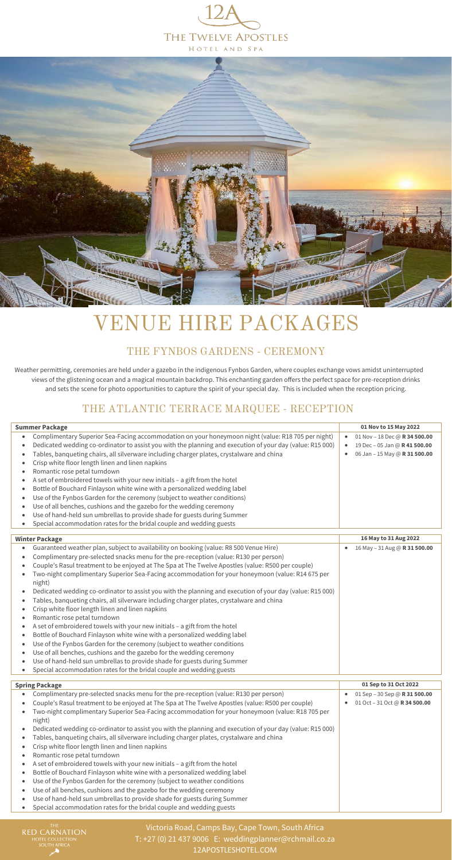Victoria Road, Camps Bay, Cape Town, South Africa T: +27 (0) 21 437 9006 E: [weddingplanner@rchmail.co.za](mailto:weddingplanner@rchmail.co.za) [12APOSTLESHOTEL.COM](https://12apostleshotel.com/)

## THE FYNBOS GARDENS - CEREMONY

Weather permitting, ceremonies are held under a gazebo in the indigenous Fynbos Garden, where couples exchange vows amidst uninterrupted views of the glistening ocean and a magical mountain backdrop. This enchanting garden offers the perfect space for pre-reception drinks and sets the scene for photo opportunities to capture the spirit of your special day. This is included when the reception pricing.

## THE ATLANTIC TERRACE MARQUEE - RECEPTION

| <b>Summer Package</b>                                                                                                                                                                                                                                                                                                                                                                                                                                                                                                                                                                                                                                                                                                                                                                                                                                                                                                                                                                                                                                                                                                                                                                                                                                                                                                                | 01 Nov to 15 May 2022                                                                                                                  |
|--------------------------------------------------------------------------------------------------------------------------------------------------------------------------------------------------------------------------------------------------------------------------------------------------------------------------------------------------------------------------------------------------------------------------------------------------------------------------------------------------------------------------------------------------------------------------------------------------------------------------------------------------------------------------------------------------------------------------------------------------------------------------------------------------------------------------------------------------------------------------------------------------------------------------------------------------------------------------------------------------------------------------------------------------------------------------------------------------------------------------------------------------------------------------------------------------------------------------------------------------------------------------------------------------------------------------------------|----------------------------------------------------------------------------------------------------------------------------------------|
| Complimentary Superior Sea-Facing accommodation on your honeymoon night (value: R18 705 per night)<br>$\bullet$<br>Dedicated wedding co-ordinator to assist you with the planning and execution of your day (value: R15 000)<br>$\bullet$<br>Tables, banqueting chairs, all silverware including charger plates, crystalware and china<br>$\bullet$<br>Crisp white floor length linen and linen napkins<br>$\bullet$<br>Romantic rose petal turndown<br>$\bullet$<br>A set of embroidered towels with your new initials - a gift from the hotel<br>$\bullet$<br>Bottle of Bouchard Finlayson white wine with a personalized wedding label<br>$\bullet$                                                                                                                                                                                                                                                                                                                                                                                                                                                                                                                                                                                                                                                                               | 01 Nov - 18 Dec @ R 34 500.00<br>$\bullet$<br>19 Dec - 05 Jan @ R 41 500.00<br>$\bullet$<br>06 Jan - 15 May @ R 31 500.00<br>$\bullet$ |
| Use of the Fynbos Garden for the ceremony (subject to weather conditions)<br>$\bullet$<br>Use of all benches, cushions and the gazebo for the wedding ceremony<br>$\bullet$<br>Use of hand-held sun umbrellas to provide shade for guests during Summer<br>$\bullet$<br>Special accommodation rates for the bridal couple and wedding guests<br>$\bullet$                                                                                                                                                                                                                                                                                                                                                                                                                                                                                                                                                                                                                                                                                                                                                                                                                                                                                                                                                                            |                                                                                                                                        |
| <b>Winter Package</b>                                                                                                                                                                                                                                                                                                                                                                                                                                                                                                                                                                                                                                                                                                                                                                                                                                                                                                                                                                                                                                                                                                                                                                                                                                                                                                                | 16 May to 31 Aug 2022                                                                                                                  |
| Guaranteed weather plan, subject to availability on booking (value: R8 500 Venue Hire)<br>$\bullet$<br>Complimentary pre-selected snacks menu for the pre-reception (value: R130 per person)<br>$\bullet$<br>Couple's Rasul treatment to be enjoyed at The Spa at The Twelve Apostles (value: R500 per couple)<br>$\bullet$<br>Two-night complimentary Superior Sea-Facing accommodation for your honeymoon (value: R14 675 per<br>night)<br>Dedicated wedding co-ordinator to assist you with the planning and execution of your day (value: R15 000)<br>٠<br>Tables, banqueting chairs, all silverware including charger plates, crystalware and china<br>$\bullet$<br>Crisp white floor length linen and linen napkins<br>$\bullet$<br>Romantic rose petal turndown<br>$\bullet$<br>A set of embroidered towels with your new initials - a gift from the hotel<br>$\bullet$<br>Bottle of Bouchard Finlayson white wine with a personalized wedding label<br>$\bullet$<br>Use of the Fynbos Garden for the ceremony (subject to weather conditions<br>$\bullet$<br>Use of all benches, cushions and the gazebo for the wedding ceremony<br>$\bullet$<br>Use of hand-held sun umbrellas to provide shade for guests during Summer<br>$\bullet$<br>Special accommodation rates for the bridal couple and wedding guests<br>$\bullet$ | 16 May - 31 Aug @ R 31 500.00                                                                                                          |

| <b>Spring Package</b>                                                                                      | 01 Sep to 31 Oct 2022         |
|------------------------------------------------------------------------------------------------------------|-------------------------------|
| Complimentary pre-selected snacks menu for the pre-reception (value: R130 per person)                      | 01 Sep - 30 Sep @ R 31 500.00 |
| Couple's Rasul treatment to be enjoyed at The Spa at The Twelve Apostles (value: R500 per couple)          | 01 Oct - 31 Oct @ R 34 500.00 |
| Two-night complimentary Superior Sea-Facing accommodation for your honeymoon (value: R18 705 per<br>night) |                               |
| Dedicated wedding co-ordinator to assist you with the planning and execution of your day (value: R15 000)  |                               |
| Tables, banqueting chairs, all silverware including charger plates, crystalware and china                  |                               |
| Crisp white floor length linen and linen napkins                                                           |                               |
| Romantic rose petal turndown                                                                               |                               |
| A set of embroidered towels with your new initials - a gift from the hotel                                 |                               |
| Bottle of Bouchard Finlayson white wine with a personalized wedding label                                  |                               |
| Use of the Fynbos Garden for the ceremony (subject to weather conditions                                   |                               |
| Use of all benches, cushions and the gazebo for the wedding ceremony                                       |                               |
| Use of hand-held sun umbrellas to provide shade for guests during Summer                                   |                               |
| Special accommodation rates for the bridal couple and wedding guests                                       |                               |

THE THE SARNATION HOTEL COLLECTION<br>HOTEL COLLECTION<br>SOUTH AFRICA





# VENUE HIRE PACKAGES